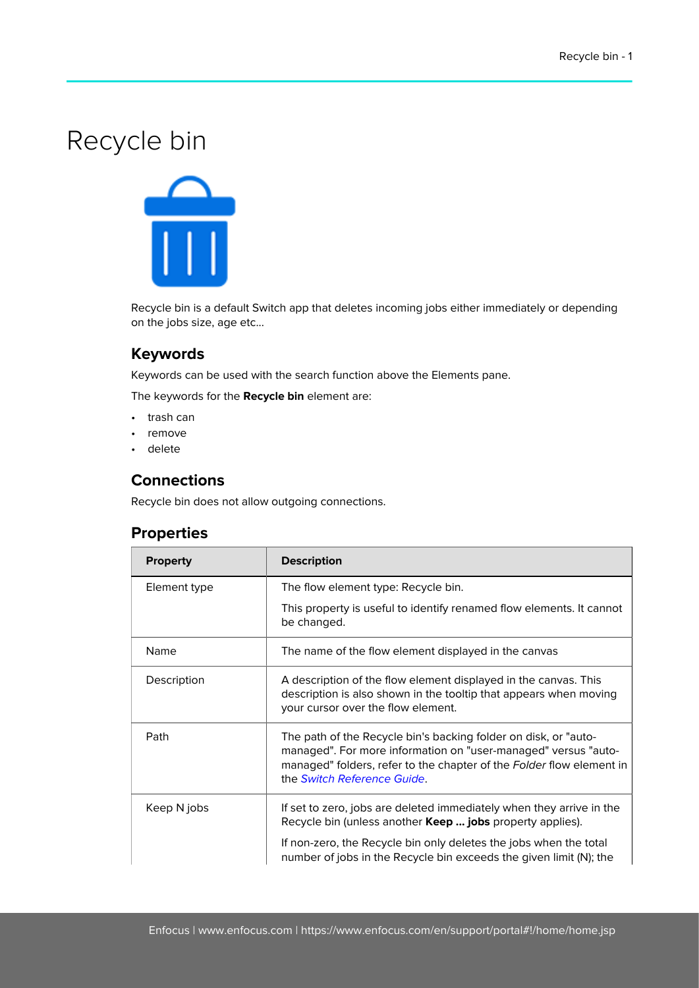## Recycle bin



Recycle bin is a default Switch app that deletes incoming jobs either immediately or depending on the jobs size, age etc...

## **Keywords**

Keywords can be used with the search function above the Elements pane.

The keywords for the **Recycle bin** element are:

- trash can
- remove
- delete

## **Connections**

Recycle bin does not allow outgoing connections.

## **Properties**

| <b>Property</b> | <b>Description</b>                                                                                                                                                                                                                       |
|-----------------|------------------------------------------------------------------------------------------------------------------------------------------------------------------------------------------------------------------------------------------|
| Element type    | The flow element type: Recycle bin.                                                                                                                                                                                                      |
|                 | This property is useful to identify renamed flow elements. It cannot<br>be changed.                                                                                                                                                      |
| Name            | The name of the flow element displayed in the canvas                                                                                                                                                                                     |
| Description     | A description of the flow element displayed in the canvas. This<br>description is also shown in the tooltip that appears when moving<br>your cursor over the flow element.                                                               |
| Path            | The path of the Recycle bin's backing folder on disk, or "auto-<br>managed". For more information on "user-managed" versus "auto-<br>managed" folders, refer to the chapter of the Folder flow element in<br>the Switch Reference Guide. |
| Keep N jobs     | If set to zero, jobs are deleted immediately when they arrive in the<br>Recycle bin (unless another <b>Keep  jobs</b> property applies).                                                                                                 |
|                 | If non-zero, the Recycle bin only deletes the jobs when the total<br>number of jobs in the Recycle bin exceeds the given limit (N); the                                                                                                  |